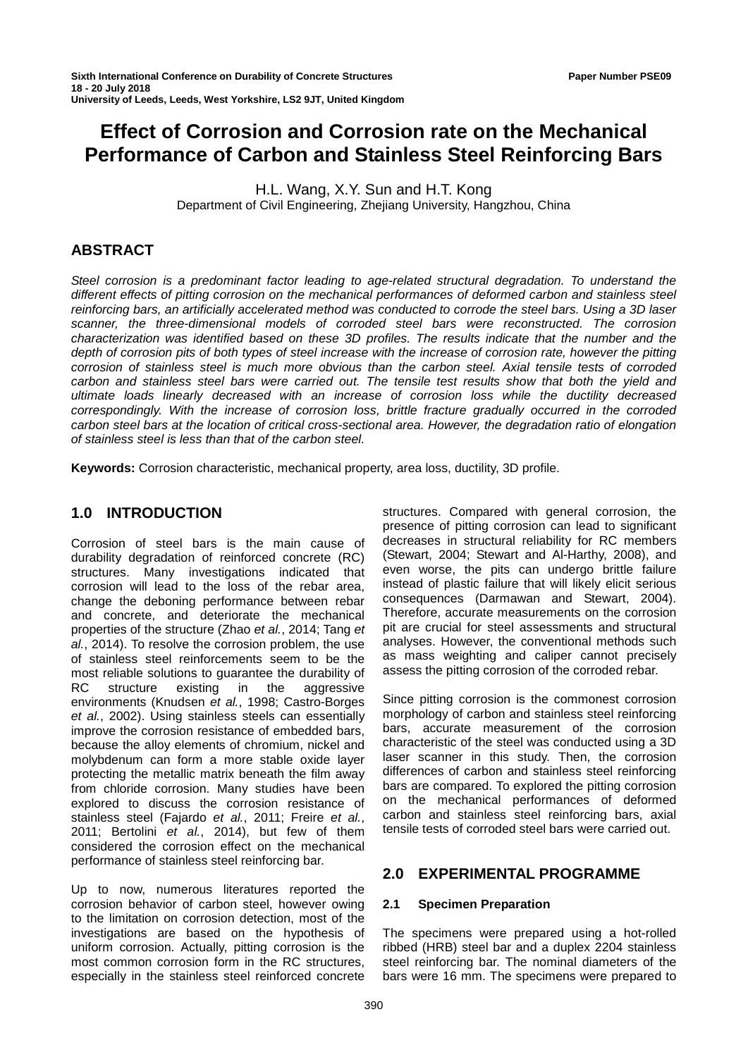# **Effect of Corrosion and Corrosion rate on the Mechanical Performance of Carbon and Stainless Steel Reinforcing Bars**

H.L. Wang, X.Y. Sun and H.T. Kong Department of Civil Engineering, Zhejiang University, Hangzhou, China

## **ABSTRACT**

*Steel corrosion is a predominant factor leading to age-related structural degradation. To understand the different effects of pitting corrosion on the mechanical performances of deformed carbon and stainless steel reinforcing bars, an artificially accelerated method was conducted to corrode the steel bars. Using a 3D laser scanner, the three-dimensional models of corroded steel bars were reconstructed. The corrosion characterization was identified based on these 3D profiles. The results indicate that the number and the depth of corrosion pits of both types of steel increase with the increase of corrosion rate, however the pitting corrosion of stainless steel is much more obvious than the carbon steel. Axial tensile tests of corroded carbon and stainless steel bars were carried out. The tensile test results show that both the yield and ultimate loads linearly decreased with an increase of corrosion loss while the ductility decreased correspondingly. With the increase of corrosion loss, brittle fracture gradually occurred in the corroded carbon steel bars at the location of critical cross-sectional area. However, the degradation ratio of elongation of stainless steel is less than that of the carbon steel.* 

**Keywords:** Corrosion characteristic, mechanical property, area loss, ductility, 3D profile.

## **1.0 INTRODUCTION**

Corrosion of steel bars is the main cause of durability degradation of reinforced concrete (RC) structures. Many investigations indicated that corrosion will lead to the loss of the rebar area, change the deboning performance between rebar and concrete, and deteriorate the mechanical properties of the structure (Zhao *et al.*, 2014; Tang *et al.*, 2014). To resolve the corrosion problem, the use of stainless steel reinforcements seem to be the most reliable solutions to guarantee the durability of RC structure existing in the aggressive environments (Knudsen *et al.*, 1998; Castro-Borges *et al.*, 2002). Using stainless steels can essentially improve the corrosion resistance of embedded bars, because the alloy elements of chromium, nickel and molybdenum can form a more stable oxide layer protecting the metallic matrix beneath the film away from chloride corrosion. Many studies have been explored to discuss the corrosion resistance of stainless steel (Fajardo *et al.*, 2011; Freire *et al.*, 2011; Bertolini *et al.*, 2014), but few of them considered the corrosion effect on the mechanical performance of stainless steel reinforcing bar.

Up to now, numerous literatures reported the corrosion behavior of carbon steel, however owing to the limitation on corrosion detection, most of the investigations are based on the hypothesis of uniform corrosion. Actually, pitting corrosion is the most common corrosion form in the RC structures, especially in the stainless steel reinforced concrete

structures. Compared with general corrosion, the presence of pitting corrosion can lead to significant decreases in structural reliability for RC members (Stewart, 2004; Stewart and Al-Harthy, 2008), and even worse, the pits can undergo brittle failure instead of plastic failure that will likely elicit serious consequences (Darmawan and Stewart, 2004). Therefore, accurate measurements on the corrosion pit are crucial for steel assessments and structural analyses. However, the conventional methods such as mass weighting and caliper cannot precisely assess the pitting corrosion of the corroded rebar.

Since pitting corrosion is the commonest corrosion morphology of carbon and stainless steel reinforcing bars, accurate measurement of the corrosion characteristic of the steel was conducted using a 3D laser scanner in this study. Then, the corrosion differences of carbon and stainless steel reinforcing bars are compared. To explored the pitting corrosion on the mechanical performances of deformed carbon and stainless steel reinforcing bars, axial tensile tests of corroded steel bars were carried out.

## **2.0 EXPERIMENTAL PROGRAMME**

### **2.1 Specimen Preparation**

The specimens were prepared using a hot-rolled ribbed (HRB) steel bar and a duplex 2204 stainless steel reinforcing bar. The nominal diameters of the bars were 16 mm. The specimens were prepared to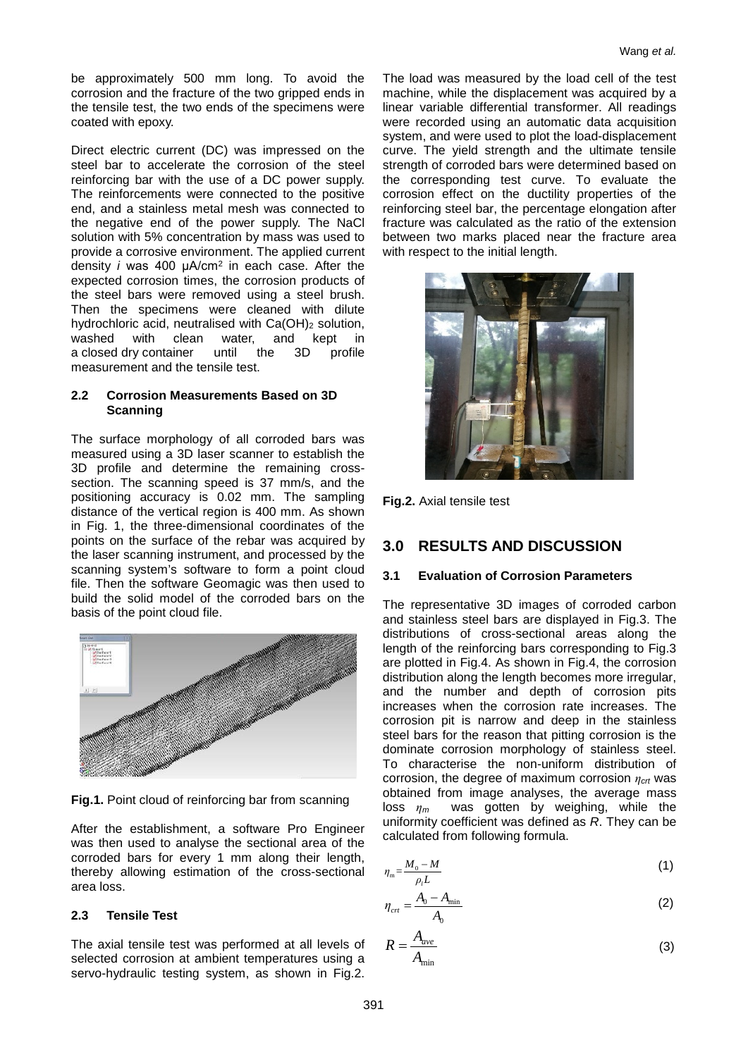be approximately 500 mm long. To avoid the corrosion and the fracture of the two gripped ends in the tensile test, the two ends of the specimens were coated with epoxy.

Direct electric current (DC) was impressed on the steel bar to accelerate the corrosion of the steel reinforcing bar with the use of a DC power supply. The reinforcements were connected to the positive end, and a stainless metal mesh was connected to the negative end of the power supply. The NaCl solution with 5% concentration by mass was used to provide a corrosive environment. The applied current density *i* was 400 μA/cm<sup>2</sup> in each case. After the expected corrosion times, the corrosion products of the steel bars were removed using a steel brush. Then the specimens were cleaned with dilute hydrochloric acid, neutralised with Ca(OH)<sub>2</sub> solution, washed with clean water, and kept in<br>aclosed.drv.container until the 3D profile a closed dry container measurement and the tensile test.

### **2.2 Corrosion Measurements Based on 3D Scanning**

The surface morphology of all corroded bars was measured using a 3D laser scanner to establish the 3D profile and determine the remaining crosssection. The scanning speed is 37 mm/s, and the positioning accuracy is 0.02 mm. The sampling distance of the vertical region is 400 mm. As shown in Fig. 1, the three-dimensional coordinates of the points on the surface of the rebar was acquired by the laser scanning instrument, and processed by the scanning system's software to form a point cloud file. Then the software Geomagic was then used to build the solid model of the corroded bars on the basis of the point cloud file.



**Fig.1.** Point cloud of reinforcing bar from scanning

After the establishment, a software Pro Engineer was then used to analyse the sectional area of the corroded bars for every 1 mm along their length, thereby allowing estimation of the cross-sectional area loss.

## **2.3 Tensile Test**

The axial tensile test was performed at all levels of selected corrosion at ambient temperatures using a servo-hydraulic testing system, as shown in Fig.2.

The load was measured by the load cell of the test machine, while the displacement was acquired by a linear variable differential transformer. All readings were recorded using an automatic data acquisition system, and were used to plot the load-displacement curve. The yield strength and the ultimate tensile strength of corroded bars were determined based on the corresponding test curve. To evaluate the corrosion effect on the ductility properties of the reinforcing steel bar, the percentage elongation after fracture was calculated as the ratio of the extension between two marks placed near the fracture area with respect to the initial length.



**Fig.2.** Axial tensile test

## **3.0 RESULTS AND DISCUSSION**

## **3.1 Evaluation of Corrosion Parameters**

The representative 3D images of corroded carbon and stainless steel bars are displayed in Fig.3. The distributions of cross-sectional areas along the length of the reinforcing bars corresponding to Fig.3 are plotted in Fig.4. As shown in Fig.4, the corrosion distribution along the length becomes more irregular, and the number and depth of corrosion pits increases when the corrosion rate increases. The corrosion pit is narrow and deep in the stainless steel bars for the reason that pitting corrosion is the dominate corrosion morphology of stainless steel. To characterise the non-uniform distribution of corrosion, the degree of maximum corrosion *ηcrt* was obtained from image analyses, the average mass loss *η<sup>m</sup>* was gotten by weighing, while the uniformity coefficient was defined as *R*. They can be calculated from following formula.

$$
\eta_{\rm m} = \frac{M_0 - M}{\rho_l L} \tag{1}
$$

$$
\eta_{\rm crt} = \frac{A_0 - A_{\rm min}}{A_0} \tag{2}
$$

$$
R = \frac{A_{ave}}{A_{\min}}
$$
 (3)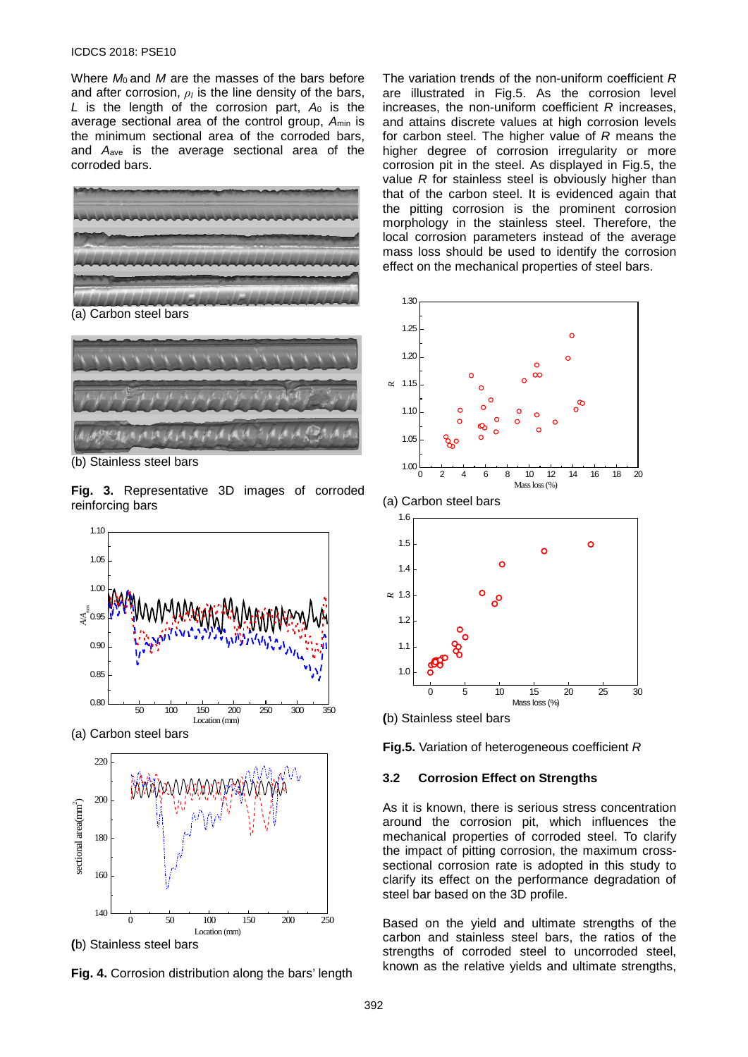#### ICDCS 2018: PSE10

Where *M*<sub>0</sub> and *M* are the masses of the bars before and after corrosion, *ρ<sup>l</sup>* is the line density of the bars, *L* is the length of the corrosion part, *A*<sup>0</sup> is the average sectional area of the control group, *A*min is the minimum sectional area of the corroded bars, and *A*ave is the average sectional area of the corroded bars.





(b) Stainless steel bars

**Fig. 3.** Representative 3D images of corroded reinforcing bars



**(**b) Stainless steel bars

**Fig. 4.** Corrosion distribution along the bars' length

The variation trends of the non-uniform coefficient *R* are illustrated in Fig.5. As the corrosion level increases, the non-uniform coefficient *R* increases, and attains discrete values at high corrosion levels for carbon steel. The higher value of *R* means the higher degree of corrosion irregularity or more corrosion pit in the steel. As displayed in Fig.5, the value *R* for stainless steel is obviously higher than that of the carbon steel. It is evidenced again that the pitting corrosion is the prominent corrosion morphology in the stainless steel. Therefore, the local corrosion parameters instead of the average mass loss should be used to identify the corrosion effect on the mechanical properties of steel bars.









**Fig.5.** Variation of heterogeneous coefficient *R*

#### **3.2 Corrosion Effect on Strengths**

As it is known, there is serious stress concentration around the corrosion pit, which influences the mechanical properties of corroded steel. To clarify the impact of pitting corrosion, the maximum crosssectional corrosion rate is adopted in this study to clarify its effect on the performance degradation of steel bar based on the 3D profile.

Based on the yield and ultimate strengths of the carbon and stainless steel bars, the ratios of the strengths of corroded steel to uncorroded steel, known as the relative yields and ultimate strengths,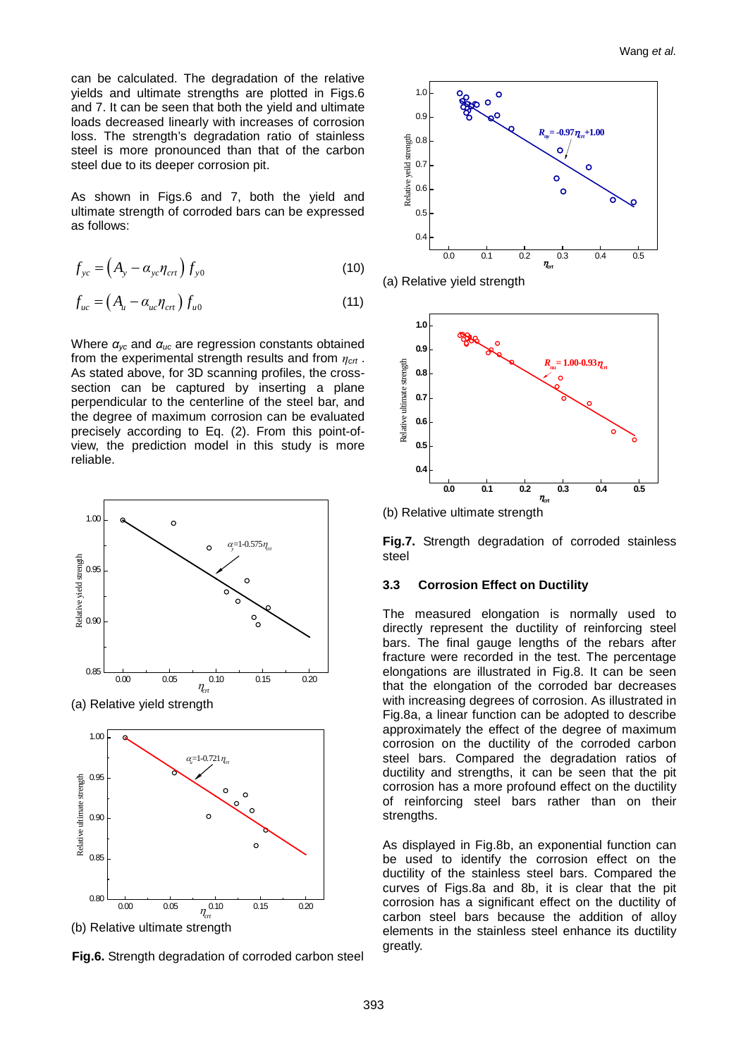can be calculated. The degradation of the relative yields and ultimate strengths are plotted in Figs.6 and 7. It can be seen that both the yield and ultimate loads decreased linearly with increases of corrosion loss. The strength's degradation ratio of stainless steel is more pronounced than that of the carbon steel due to its deeper corrosion pit.

As shown in Figs.6 and 7, both the yield and ultimate strength of corroded bars can be expressed as follows:

$$
f_{yc} = \left(A_y - \alpha_{yc}\eta_{crt}\right) f_{y0} \tag{10}
$$

$$
f_{uc} = \left(A_u - \alpha_{uc} \eta_{crt}\right) f_{u0} \tag{11}
$$

Where *αyc* and *αuc* are regression constants obtained from the experimental strength results and from *ηcrt* . As stated above, for 3D scanning profiles, the crosssection can be captured by inserting a plane perpendicular to the centerline of the steel bar, and the degree of maximum corrosion can be evaluated precisely according to Eq. (2). From this point-ofview, the prediction model in this study is more reliable.



(b) Relative ultimate strength

**Fig.6.** Strength degradation of corroded carbon steel







(b) Relative ultimate strength

**Fig.7.** Strength degradation of corroded stainless steel

#### **3.3 Corrosion Effect on Ductility**

The measured elongation is normally used to directly represent the ductility of reinforcing steel bars. The final gauge lengths of the rebars after fracture were recorded in the test. The percentage elongations are illustrated in Fig.8. It can be seen that the elongation of the corroded bar decreases with increasing degrees of corrosion. As illustrated in Fig.8a, a linear function can be adopted to describe approximately the effect of the degree of maximum corrosion on the ductility of the corroded carbon steel bars. Compared the degradation ratios of ductility and strengths, it can be seen that the pit corrosion has a more profound effect on the ductility of reinforcing steel bars rather than on their strengths.

As displayed in Fig.8b, an exponential function can be used to identify the corrosion effect on the ductility of the stainless steel bars. Compared the curves of Figs.8a and 8b, it is clear that the pit corrosion has a significant effect on the ductility of carbon steel bars because the addition of alloy elements in the stainless steel enhance its ductility greatly.